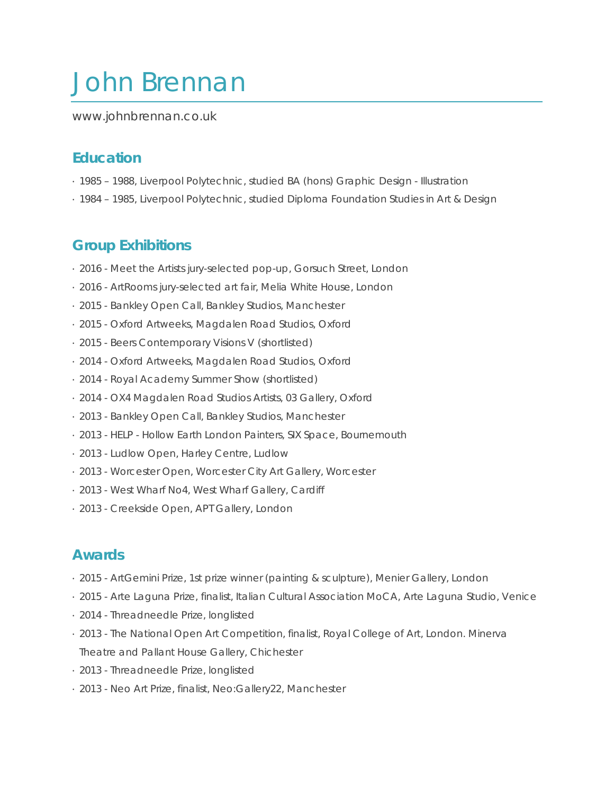# John Brennan

www.johnbrennan.co.uk

# **Education**

- · 1985 1988, Liverpool Polytechnic, studied BA (hons) Graphic Design Illustration
- · 1984 1985, Liverpool Polytechnic, studied Diploma Foundation Studies in Art & Design

#### **Group Exhibitions**

- · 2016 Meet the Artists jury-selected pop-up, Gorsuch Street, London
- · 2016 ArtRooms jury-selected art fair, Melia White House, London
- · 2015 Bankley Open Call, Bankley Studios, Manchester
- · 2015 Oxford Artweeks, Magdalen Road Studios, Oxford
- · 2015 Beers Contemporary Visions V (shortlisted)
- · 2014 Oxford Artweeks, Magdalen Road Studios, Oxford
- · 2014 Royal Academy Summer Show (shortlisted)
- · 2014 OX4 Magdalen Road Studios Artists, 03 Gallery, Oxford
- · 2013 Bankley Open Call, Bankley Studios, Manchester
- · 2013 HELP Hollow Earth London Painters, SIX Space, Bournemouth
- · 2013 Ludlow Open, Harley Centre, Ludlow
- · 2013 Worcester Open, Worcester City Art Gallery, Worcester
- · 2013 West Wharf No4, West Wharf Gallery, Cardiff
- · 2013 Creekside Open, APT Gallery, London

#### **Awards**

- · 2015 ArtGemini Prize, 1st prize winner (painting & sculpture), Menier Gallery, London
- · 2015 Arte Laguna Prize, finalist, Italian Cultural Association MoCA, Arte Laguna Studio, Venice
- · 2014 Threadneedle Prize, longlisted
- · 2013 The National Open Art Competition, finalist, Royal College of Art, London. Minerva Theatre and Pallant House Gallery, Chichester
- · 2013 Threadneedle Prize, longlisted
- · 2013 Neo Art Prize, finalist, Neo:Gallery22, Manchester